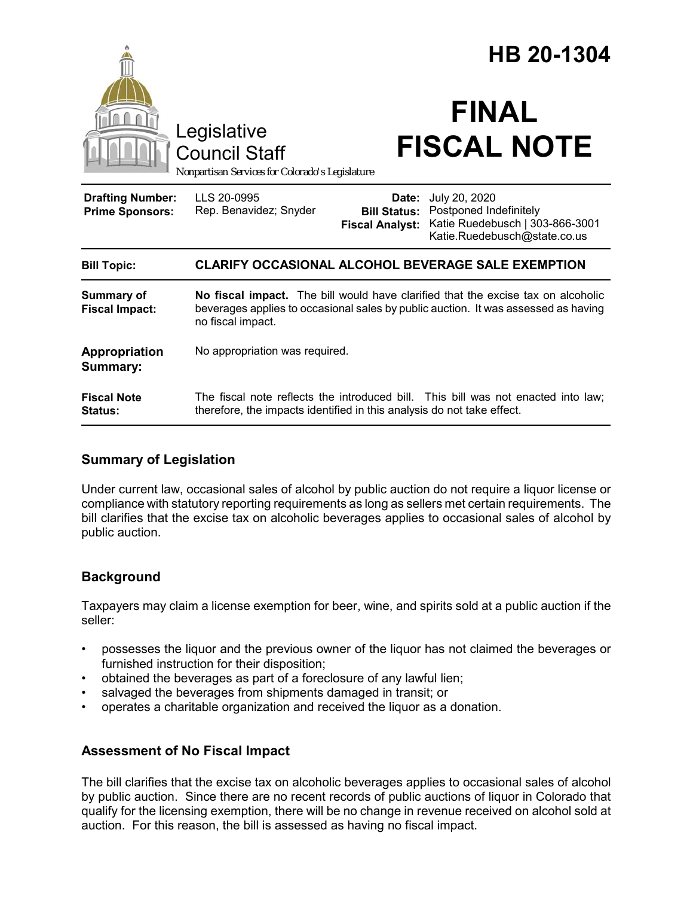|                                                   |                                                                                                                                                                                             | HB 20-1304                                             |                                                                                                            |
|---------------------------------------------------|---------------------------------------------------------------------------------------------------------------------------------------------------------------------------------------------|--------------------------------------------------------|------------------------------------------------------------------------------------------------------------|
|                                                   | Legislative<br><b>Council Staff</b><br>Nonpartisan Services for Colorado's Legislature                                                                                                      |                                                        | <b>FINAL</b><br><b>FISCAL NOTE</b>                                                                         |
| <b>Drafting Number:</b><br><b>Prime Sponsors:</b> | LLS 20-0995<br>Rep. Benavidez; Snyder                                                                                                                                                       | Date:<br><b>Bill Status:</b><br><b>Fiscal Analyst:</b> | July 20, 2020<br>Postponed Indefinitely<br>Katie Ruedebusch   303-866-3001<br>Katie.Ruedebusch@state.co.us |
| <b>Bill Topic:</b>                                | <b>CLARIFY OCCASIONAL ALCOHOL BEVERAGE SALE EXEMPTION</b>                                                                                                                                   |                                                        |                                                                                                            |
| <b>Summary of</b><br><b>Fiscal Impact:</b>        | No fiscal impact. The bill would have clarified that the excise tax on alcoholic<br>beverages applies to occasional sales by public auction. It was assessed as having<br>no fiscal impact. |                                                        |                                                                                                            |
| Appropriation<br>Summary:                         | No appropriation was required.                                                                                                                                                              |                                                        |                                                                                                            |
| <b>Fiscal Note</b><br>Status:                     | therefore, the impacts identified in this analysis do not take effect.                                                                                                                      |                                                        | The fiscal note reflects the introduced bill. This bill was not enacted into law;                          |

## **Summary of Legislation**

Under current law, occasional sales of alcohol by public auction do not require a liquor license or compliance with statutory reporting requirements as long as sellers met certain requirements. The bill clarifies that the excise tax on alcoholic beverages applies to occasional sales of alcohol by public auction.

## **Background**

Taxpayers may claim a license exemption for beer, wine, and spirits sold at a public auction if the seller:

- possesses the liquor and the previous owner of the liquor has not claimed the beverages or furnished instruction for their disposition;
- obtained the beverages as part of a foreclosure of any lawful lien;
- salvaged the beverages from shipments damaged in transit; or
- operates a charitable organization and received the liquor as a donation.

#### **Assessment of No Fiscal Impact**

The bill clarifies that the excise tax on alcoholic beverages applies to occasional sales of alcohol by public auction. Since there are no recent records of public auctions of liquor in Colorado that qualify for the licensing exemption, there will be no change in revenue received on alcohol sold at auction. For this reason, the bill is assessed as having no fiscal impact.